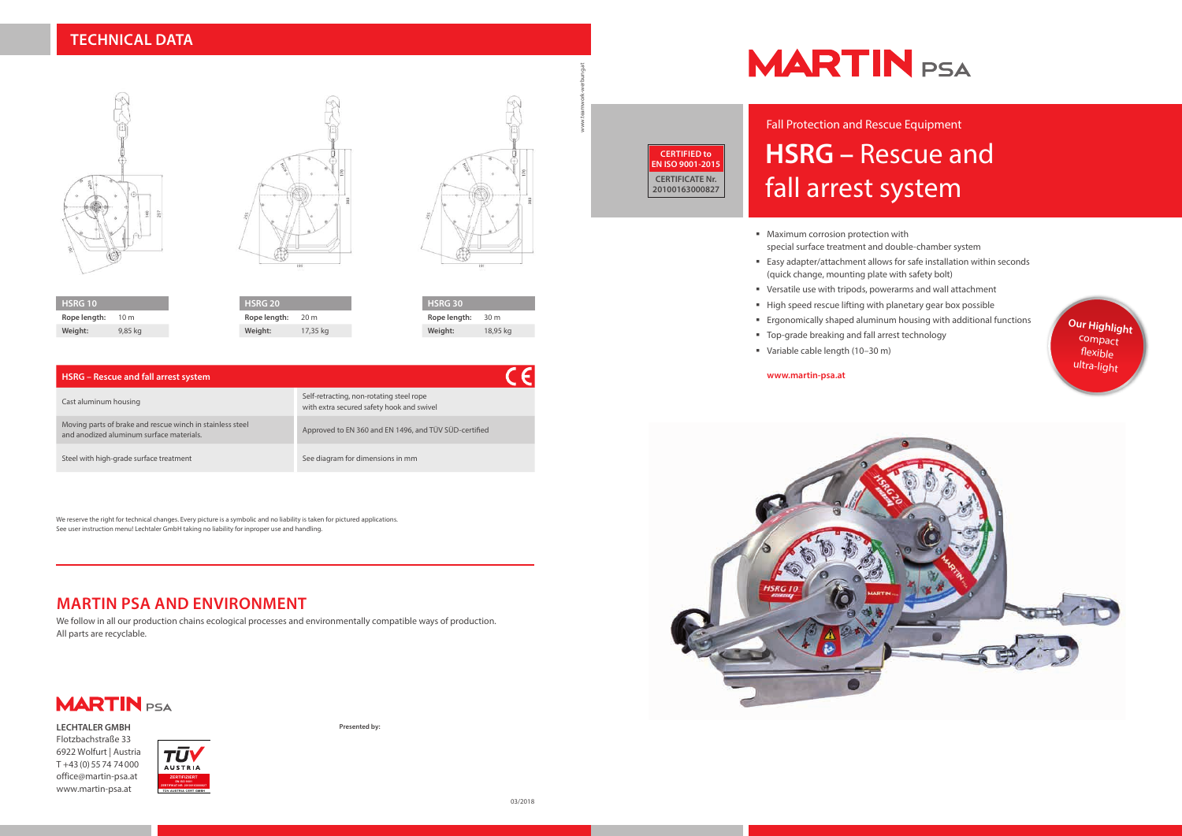# **HSRG –** Rescue and fall arrest system Fall Protection and Rescue Equipment

- **Maximum corrosion protection with** special surface treatment and double-chamber system
- Easy adapter/attachment allows for safe installation within seconds (quick change, mounting plate with safety bolt)
- Versatile use with tripods, powerarms and wall attachment
- High speed rescue lifting with planetary gear box possible
- Ergonomically shaped aluminum housing with additional functions
- **Top-grade breaking and fall arrest technology**
- Variable cable length (10–30 m)

#### **www.martin-psa.at**







| HSRG - Rescue and fall arrest system                                                                  |                                                                                       |
|-------------------------------------------------------------------------------------------------------|---------------------------------------------------------------------------------------|
| Cast aluminum housing                                                                                 | Self-retracting, non-rotating steel rope<br>with extra secured safety hook and swivel |
| Moving parts of brake and rescue winch in stainless steel<br>and anodized aluminum surface materials. | Approved to EN 360 and EN 1496, and TÜV SÜD-certified                                 |
| Steel with high-grade surface treatment                                                               | See diagram for dimensions in mm                                                      |



| <b>HSRG 20</b> |          |
|----------------|----------|
| Rope length:   | 20 m     |
| Weight:        | 17,35 kg |





# **MARTIN PSA AND ENVIRONMENT**

We follow in all our production chains ecological processes and environmentally compatible ways of production. All parts are recyclable.



We reserve the right for technical changes. Every picture is a symbolic and no liability is taken for pictured applications. See user instruction menu! Lechtaler GmbH taking no liability for inproper use and handling.

**Presented by:**

# **MARTIN** PSA

www.teamwork-werbung.at



- 
- 

**LECHTALER GMBH** Flotzbachstraße 33 6922 Wolfurt | Austria T +43 (0) 55 74 74 000 office@martin-psa.at www.martin-psa.at





**CERTIFIED to EN ISO 9001-2015 CERTIFICATE Nr. 20100163000827**